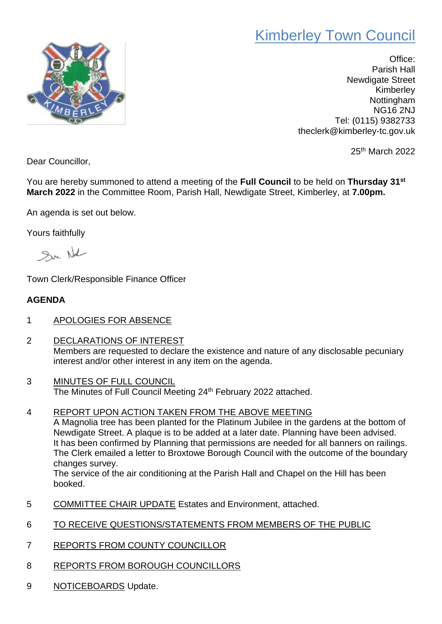## Kimberley Town Council



Office: Parish Hall Newdigate Street Kimberley Nottingham NG16 2NJ Tel: (0115) 9382733 theclerk@kimberley-tc.gov.uk

25th March 2022

Dear Councillor,

You are hereby summoned to attend a meeting of the **Full Council** to be held on **Thursday 31st March 2022** in the Committee Room, Parish Hall, Newdigate Street, Kimberley, at **7.00pm.**

An agenda is set out below.

Yours faithfully

Sur Nal

Town Clerk/Responsible Finance Officer

## **AGENDA**

- 1 APOLOGIES FOR ABSENCE
- 2 DECLARATIONS OF INTEREST Members are requested to declare the existence and nature of any disclosable pecuniary interest and/or other interest in any item on the agenda.
- 3 MINUTES OF FULL COUNCIL The Minutes of Full Council Meeting 24<sup>th</sup> February 2022 attached.
- 4 REPORT UPON ACTION TAKEN FROM THE ABOVE MEETING

A Magnolia tree has been planted for the Platinum Jubilee in the gardens at the bottom of Newdigate Street. A plaque is to be added at a later date. Planning have been advised. It has been confirmed by Planning that permissions are needed for all banners on railings. The Clerk emailed a letter to Broxtowe Borough Council with the outcome of the boundary changes survey.

The service of the air conditioning at the Parish Hall and Chapel on the Hill has been booked.

- 5 COMMITTEE CHAIR UPDATE Estates and Environment, attached.
- 6 TO RECEIVE QUESTIONS/STATEMENTS FROM MEMBERS OF THE PUBLIC
- 7 REPORTS FROM COUNTY COUNCILLOR
- 8 REPORTS FROM BOROUGH COUNCILLORS
- 9 NOTICEBOARDS Update.